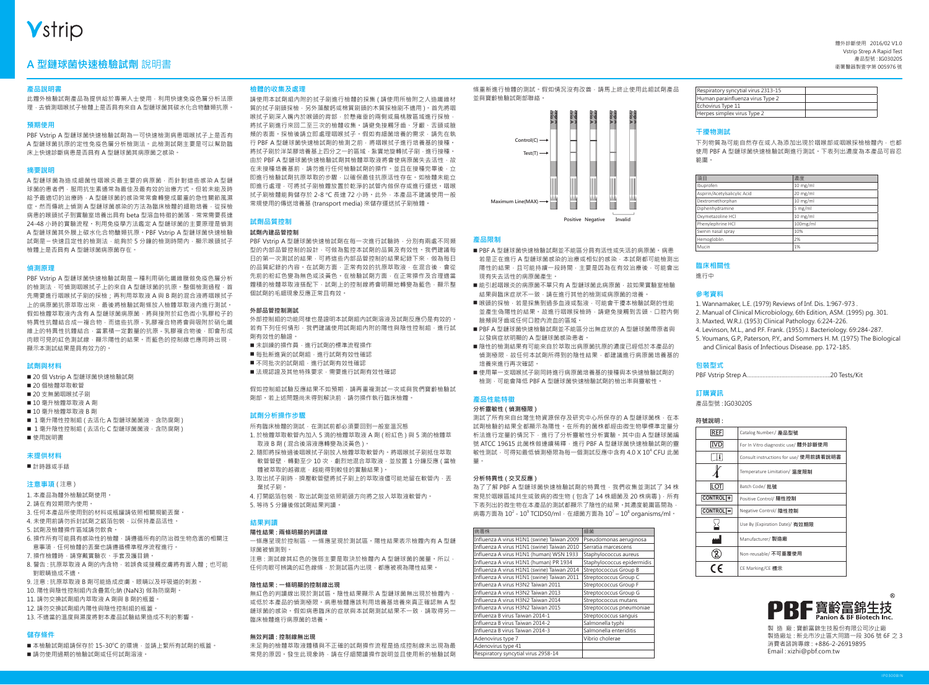# **Vstrip**

# 產品型號 : IG03020S **A 型鏈球菌快速檢驗試劑** 說明書 衛署醫器製壹字第 005976 號

### **產品說明書**

此體外檢驗試劑產品為提供給於專業人士使用,利用快速免疫色層分析法原 理,去偵測咽喉拭子檢體上是否具有來自 A 型鏈球菌其碳水化合物醣類抗原。

### **預期使用**

PBF Vstrip A 型鏈球菌快速檢驗試劑為一可快速檢測病患咽喉拭子上是否有 A 型鏈球菌抗原的定性免疫色層分析檢測法。此檢測試劑主要是可以幫助臨 床上快速診斷病患是否具有 A 型鏈球菌其病原菌之感染。

### **摘要說明**

A 型鏈球菌為造成細菌性咽喉炎最主要的病原菌,而針對這些感染A 型鏈 球菌的患者們,服用抗生素通常為最佳及最有效的治療方式。但若未能及時 給予最適切的治療時, A 型鏈球菌的感染常常會轉變成嚴重的急性關節風濕 症。然而傳統上偵測 A 型鏈球菌感染的方法為臨床檢體的細胞培養,從採檢 病患的喉頭拭子到實驗室培養出具有 beta 型溶血特徵的菌落,常常需要長達 24-48 小時的實驗流程。利用免疫學方法鑑定 A 型鏈球菌的主要原理是偵測 A 型鏈球菌其外膜上碳水化合物醣類抗原。PBF Vstrip A 型鏈球菌快速檢驗 試劑是一快速且定性的檢測法,能夠於5分鐘的檢測時間內,顯示喉頭拭子 檢體上是否具有 A 型鏈球菌病原菌存在。

### **偵測原理**

PBF Vstrip A 型鏈球菌快速檢驗試劑是ㄧ種利用硝化纖維膜做免疫色層分析 的檢測法,可偵測咽喉拭子上的來自 A 型鏈球菌的抗原,整個檢測過程,首 先需要進行咽喉拭子刷的採檢;再利用萃取液 A 與 B 劑的混合液將咽喉拭子 上的病原菌抗原萃取出來,最後將檢驗試劑條放入檢體萃取液內進行測試。 假如檢體萃取液內含有 A 型鏈球菌病原菌,將與接附於紅色微小乳膠粒子的 特異性抗體結合成一複合物,而這些抗原 - 乳膠複合物將會與吸附於硝化纖 維上的特異性抗體結合,當累積一定數量的抗原 - 乳膠複合物後,即會形成 肉眼可見的紅色測試線,顯示陽性的結果。而藍色的控制線也應同時出現 顯示本測試結果是具有效力的。

### **試劑與材料**

■ 20 個 Vstrip A 型鏈球菌快速檢驗試劑 ■ 20 個檢體萃取軟管 ■ 20 支無菌咽喉拭子刷 ■ 10 毫升檢體萃取液 A 劑 ■ 10 毫升檢體萃取液 B 劑 ■ 1 毫升陽性控制組 ( 去活化 A 型鏈球菌菌液 · 含防腐劑 ) ■ 1 毫升陰性控制組 ( 去活化 C 型鏈球菌菌液, 含防腐劑 ) 使用說明書

### **未提供材料**

■計時器或手錶

### **注意事項** ( 注意 )

- 1. 本產品為體外檢驗試劑使用。
- 2. 請在有效期限內使用。
- 3. 任何本產品所使用到的材料或瓶罐請依照相關規範丟棄。
- 4. 未使用前請勿拆封試劑之鋁箔包裝, 以保持產品活性。
- 5. 試劑及檢體操作區域請勿飲食。
- 6. 操作所有可能具有感染性的檢體, 請遵循所有的防治微生物危害的相關注 意事項,任何檢體的丟棄也請遵循標準程序流程進行。
- 7. 操作檢體時,請穿戴實驗衣、手套及護目鏡。
- 8. 警告 : 抗原萃取液 A 劑的內含物, 若誤食或接觸皮膚將有害人體; 也可能 對眼睛造成不適。
- 9. 注意 : 抗原萃取液 B 劑可能造成皮膚、眼睛以及呼吸道的刺激。
- 10. 陽性與陰性控制組內含疊氮化鈉 (NaN3) 做為防腐劑。
- 11. 請勿交換試劑組內萃取液 A 劑與 B 劑的瓶蓋。
- 12. 請勿交換試劑組內陽性與陰性控制組的瓶蓋。
- 13. 不適當的溫度與濕度將對本產品試驗結果造成不利的影響。

### **儲存條件**

■本檢驗試劑組請保存於 15-30℃ 的環境,並請上緊所有試劑的瓶蓋。 ■請勿使用過期的檢驗試劑或任何試劑溶液。

### **檢體的收集及處理**

請使用本試劑組內附的拭子刷進行檢體的採集 ( 請使用所檢附之人造纖維材 質的拭子刷頭採檢,另外藻酸鈣或棉質刷頭的木質採檢刷不適用 )。首先將咽 喉拭子刷深入嘴內於喉頭的背部,於懸雍垂的兩側或扁桃腺區域進行採檢, 將拭子刷進行來回二至三次的檢體收集。請避免接觸牙齒、牙齦、舌頭或臉 頰的表面。採檢後請立即處理咽喉拭子。假如有細菌培養的需求,請先在執 行 PBF A 型鏈球菌快速檢試劑的檢測之前,將咽喉拭子進行培養基的接種。 將拭子刷於洋菜膠培養基上四分之一的區域,紮實地旋轉拭子刷,進行接種。 由於 PBF A 型鏈球菌快速檢驗試劑其檢體萃取液將會使病原菌失去活性, 故 在未接種培養基前,請勿進行任何檢驗試劑的操作。並且在接種完畢後,立 即進行檢驗試劑抗原萃取的步驟,以確保最佳抗原活性存在。如檢體未能立 即進行處理,可將拭子刷檢體放置於乾淨的試管內做保存或進行運送。咽喉 拭子刷檢體能夠儲存於 2-8 ℃ 長達 72 小時。此外,本產品不建議使用一般 常規使用的傳送培養基 (transport media) 來儲存運送拭子刷檢體。

### **試劑品質控制**

### **試劑內建品管控制**

PBF Vstrip A 型鏈球菌快速檢試劑在每一次進行試驗時, 分別有兩處不同類 型的內部品管控制的設計,可做為監控本試劑的品質及有效性。我們建議每 日的第一次測試的結果,可將這些內部品管控制的結果紀錄下來,做為每日 的品質紀錄的內容。在試劑方面,正常有效的抗原萃取液,在混合後,會從 先前的粉紅色變為無色或淡黃色。在檢驗試劑方面,在正常操作及合理適當 體積的檢體萃取液搭配下,試劑上的控制線將會明顯地轉變為藍色,顯示整 個試劑的毛細現象反應正常且有效。

### **外部品管控制測試**

外部控制組的功能同樣也是證明本試劑組內試劑溶液及試劑反應仍是有效的。 若有下列任何情形,我們建議使用試劑組內附的陽性與陰性控制組,進行試 劑有效性的驗證。

- 未訓練的操作員, 進行試劑的標準流程操作
- 每批新進貨的試劑組,進行試劑有效性確認
- 不同批次的試劑組,進行試劑有效性確認
- 法規認證及其他特殊要求,需要進行試劑有效性確認

假如控制組試驗反應結果不如預期,請再重複測試一次或與我們寶齡檢驗試 劑部。若上述問題尚未得到解決前,請勿操作執行臨床檢體。

### **試劑分析操作步驟**

- 所有臨床檢體的測試,在測試前都必須要回到一般室溫況態
- 1. 於檢體萃取軟管內加入 5 滴的檢體萃取液 A 劑 ( 粉紅色 ) 與 5 滴的檢體萃 取液 B 劑 ( 混合後溶液應轉變為淡黃色 )。
- 2. 隨即將採檢過後咽喉拭子刷放入檢體萃取軟管內。將咽喉拭子刷抵住萃取 軟管管壁,轉動至少 10 次,劇烈地混合萃取液,並放置 1 分鐘反應 ( 當檢 體被萃取的越徹底,越能得到較佳的實驗結果)。
- 3. 取出拭子刷時,擠壓軟管壁將拭子刷上的萃取液儘可能地留在軟管內,丟 棄拭子刷。
- 4. 打開鋁箔包裝, 取出試劑並依照箭頭方向將之放入萃取液軟管內。
- 5. 等待 5 分鐘後做試劑結果判讀。

### **結果判讀**

- **陽性結果 : 兩條明顯的判讀線** 一條應呈現於控制區,一條應呈現於測試區。陽性結果表示檢體內有 A 型鏈
- 球菌被偵測到 注意 : 測試線其紅色的強弱主要是取決於檢體內 A 型鏈球菌的菌量。所以,
- 任何肉眼可辨識的紅色線條,於測試區內出現,都應被視為陽性結果。

### **陰性結果 : 一條明顯的控制線出現**

無紅色的判讀線出現於測試區。陰性結果顯示 A 型鏈球菌無出現於檢體內 或低於本產品的偵測極限。病患檢體應該利用培養基培養來真正確認無 A 型 鏈球菌的感染。假如病患臨床的症狀與本試劑測試結果不一致,請取得另一 臨床檢體進行病原菌的培養。

### **無效判讀 : 控制線無出現**

未足夠的檢體萃取液體積與不正確的試劑操作流程是造成控制線未出現為最 常見的原因。發生此現象時,請在仔細閱讀操作說明並且使用新的檢驗試劑

條重新進行檢體的測試。假如情況沒有改善,請馬上終止使用此組試劑產品 並與寶齡檢驗試劑部聯絡。



### **產品限制**

- PBF A 型鏈球菌快速檢驗試劑並不能區分具有活性或失活的病原菌。病患 若是正在進行 A 型鏈球菌感染的治療或相似的感染, 本試劑都可能檢測出 陽性的結果,且可能持續一段時間,主要是因為在有效治療後,可能會出 現有失去活性的病原菌產生。
- 能引起咽喉炎的病原菌不單只有 A 型鏈球菌此病原菌, 故如果實驗室檢驗 結果與臨床症狀不一致,請在進行其他的檢測或病原菌的培養。
- ■喉頭的採檢,若是採集到過多血液或黏液,可能會干擾本檢驗試劑的性能 並產生偽陽性的結果。故進行咽喉採檢時,請避免接觸到舌頭、口腔內側 臉頰與牙齒或任何口腔內流血的區域。
- PBF A 型鏈球菌快速檢驗試劑並不能區分出無症狀的 A 型鏈球菌帶原者與 以發病症狀明顯的 A 型鏈球菌感染患者。
- 陰性的檢測結果有可能來自於萃取出病原菌抗原的濃度已經低於本產品的 偵測極限,故任何本試劑所得到的陰性結果,都建議進行病原菌培養基的 培養來進行再次確認。
- 使用單一支咽喉拭子刷同時進行病原菌培養基的接種與本快速檢驗試劑的 檢測,可能會降低 PBF A 型鏈球菌快速檢驗試劑的檢出率與靈敏性。

### **產品性能特徵**

### **分析靈敏性 ( 偵測極限 )**

測試了所有來自台灣生物資源保存及研究中心所保存的 A 型鏈球菌株, 在本 試劑檢驗的結果全都顯示為陽性。在所有的菌株都經由微生物學標準定量分 析法進行定量的情況下,進行了分析靈敏性分析實驗。其中由 A 型鏈球菌編 號 ATCC 19615 此菌株做連續稀釋,進行 PBF A 型鏈球菌快速檢驗試劑的靈 敏性測試,可得知最低偵測極限為每一個測試反應中含有 4.0 X 10<sup>4</sup> CFU 此菌 量。

### **分析特異性 ( 交叉反應 )**

為了了解 PBF A 型鏈球菌快速檢驗試劑的特異性, 我們收集並測試了 34 株 常見於咽喉區域共生或致病的微生物 (包含了 14 株細菌及 20 株病毒), 所有 下表列出的微生物在本產品的測試都顯示了陰性的結果。其濃度範圍區間為, 病毒方面為 10<sup>2</sup> - 10° TCID50/ml,在細菌方面為 10<sup>7</sup> – 10° organisms/ml。

| 病毒株                                        | 細菌                         |
|--------------------------------------------|----------------------------|
| Influenza A virus H1N1 (swine) Taiwan 2009 | Pseudomonas aeruginosa     |
| Influenza A virus H1N1 (swine) Taiwan 2010 | Serratia marcescens        |
| Influenza A virus H1N1 (human) WSN 1933    | Staphylococcus aureus      |
| Influenza A virus H1N1 (human) PR 1934     | Staphylococcus epidermidis |
| Influenza A virus H1N1 (swine) Taiwan 2014 | Streptococcus Group B      |
| Influenza A virus H1N1 (swine) Taiwan 2011 | Streptococcus Group C      |
| Influenza A virus H3N2 Taiwan 2011         | Streptococcus Group F      |
| Influenza A virus H3N2 Taiwan 2013         | Streptococcus Group G      |
| Influenza A virus H3N2 Taiwan 2014         | Streptococcus mutans       |
| Influenza A virus H3N2 Taiwan 2015         | Streptococcus pneumoniae   |
| Influenza B virus Taiwan 2014-1            | Streptococcus sanguis      |
| Influenza B virus Taiwan 2014-2            | Salmonella typhi           |
| Influenza B virus Taiwan 2014-3            | Salmonella enteriditis     |
| Adenovirus type 7                          | Vibrio cholerae            |
| Adenovirus type 41                         |                            |
| Respiratory syncytial virus 2958-14        |                            |

體外診斷使用 2016/02 V1.0 Vstrip Strep A Rapid Test

| Respiratory syncytial virus 2313-15 |  |
|-------------------------------------|--|
| Human parainfluenza virus Type 2    |  |
| Echovirus Type 11                   |  |
| Herpes simplex virus Type 2         |  |

### **干擾物測試**

下列物質為可能自然存在或人為添加出現於咽喉部或咽喉採檢檢體內,也都 使用 PBF A 型鏈球菌快速檢驗試劑進行測試。下表列出濃度為本產品可容忍 範圍。

| 項目                           | 濃度         |
|------------------------------|------------|
| Ibuprofen                    | $10$ mg/ml |
| Aspirin/Acetylsalicylic Acid | $20$ mg/ml |
| Dextromethorphan             | $10$ mg/ml |
| Diphenhydramine              | 5 mg/ml    |
| Oxymetazoline HCl            | $10$ mg/ml |
| Phenylephrine HCl            | 100mg/ml   |
| Swinin nasal spray           | 10%        |
| Hemogloblin                  | 2%         |
| Mucin                        | 1%         |

### **臨床相關性**

進行中

### **參**考資料

1. Wannamaker, L.E. (1979) Reviews of Inf. Dis. 1:967-973 . 2. Manual of Clinical Microbiology, 6th Edition, ASM. (1995) pg. 301. 3. Maxted, W.R.J. (1953) Clinical Pathology. 6:224-226. 4. Levinson, M.L., and P.F. Frank. (1955) J. Bacteriology. 69:284-287. 5. Youmans, G.P., Paterson, P.Y., and Sommers H. M. (1975) The Biological and Clinical Basis of Infectious Disease. pp. 172-185.

### **包裝型式**

PBF Vstrip Strep A……………………………………………..20 Tests/Kit

### **訂購資訊**

產品型號 : IG03020S

| × |  |
|---|--|
|   |  |

| <b>REF</b>           | Catalog Number./ 產品型號                  |
|----------------------|----------------------------------------|
| IVD                  | For In Vitro diagnostic use/ 體外診斷使用    |
| i                    | Consult instructions for use/ 使用前請看說明書 |
|                      | Temperature Limitation/ 溫度限制           |
| <b>LOT</b>           | Batch Code/ 批號                         |
| CONTROL <sup>+</sup> | Positive Control/ 陽性控制                 |
| CONTROLI-            | Negative Control/ 陰性控制                 |
|                      | Use By (Expiration Date)/ 有效期限         |
|                      | Manufacturer/ 製造廠                      |
|                      | Non-reusable/ 不可重覆使用                   |
|                      | CE Marking/CE 標示                       |



製造 廠:寶齡富錦生技股份有限公司汐止廠 製造廠址 : 新北市汐止區大同路一段 306 號 6F 之 3 消費者諮詢專線 : +886-2-26919895 Email : xizhi@pbf.com.tw